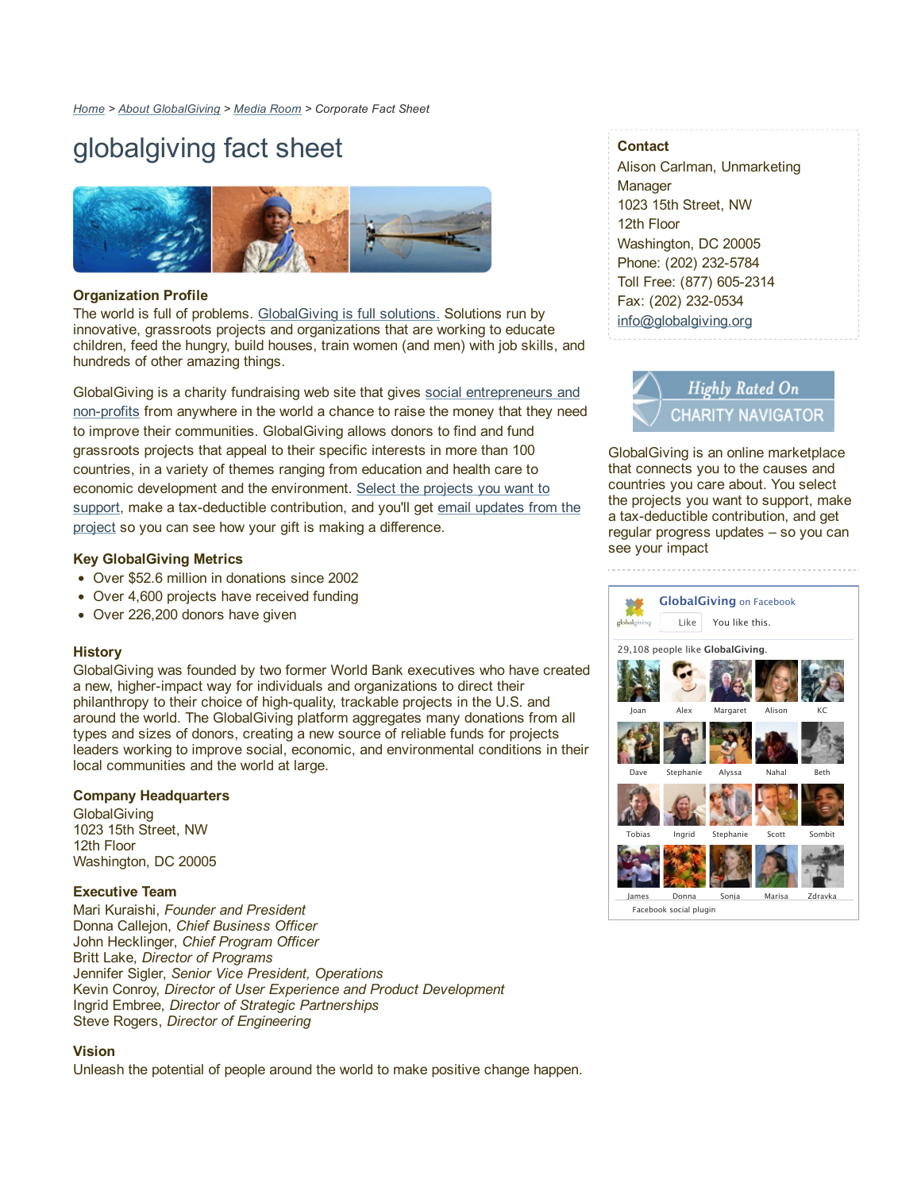# globalgiving fact sheet



#### **Organization Profile**

The world is full of problems. GlobalGiving is full solutions. Solutions run by innovative, grassroots projects and organizations that are working to educate children, feed the hungry, build houses, train women (and men) with job skills, and hundreds of other amazing things.

GlobalGiving is a charity fundraising web site that gives social entrepreneurs and non-profits from anywhere in the world a chance to raise the money that they need to improve their communities. GlobalGiving allows donors to find and fund grassroots projects that appeal to their specific interests in more than 100 countries, in a variety of themes ranging from education and health care to economic development and the environment. Select the projects you want to support, make a tax-deductible contribution, and you'll get email updates from the project so you can see how your gift is making a difference.

#### **Key GlobalGiving Metrics**

- Over \$52.6 million in donations since 2002
- Over 4,600 projects have received funding
- Over 226,200 donors have given

#### **History**

GlobalGiving was founded by two former World Bank executives who have created a new, higher-impact way for individuals and organizations to direct their philanthropy to their choice of high-quality, trackable projects in the U.S. and around the world. The GlobalGiving platform aggregates many donations from all types and sizes of donors, creating a new source of reliable funds for projects leaders working to improve social, economic, and environmental conditions in their local communities and the world at large.

#### **Company Headquarters**

**GlobalGiving** 1023 15th Street, NW 12th Floor Washington, DC 20005

#### **Executive Team**

Mari Kuraishi, *Founder and President* Donna Callejon, *Chief Business Officer* John Hecklinger, *Chief Program Officer* Britt Lake, *Director of Programs* Jennifer Sigler, *Senior Vice President, Operations* Kevin Conroy, *Director of User Experience and Product Development* Ingrid Embree, *Director of Strategic Partnerships* Steve Rogers, *Director of Engineering*

#### **Vision**

Unleash the potential of people around the world to make positive change happen.

# **Contact**

Alison Carlman, Unmarketing **Manager** 1023 15th Street, NW 12th Floor Washington, DC 20005 Phone: (202) 232-5784 Toll Free: (877) 605-2314 Fax: (202) 232-0534 info@globalgiving.org



GlobalGiving is an online marketplace that connects you to the causes and countries you care about. You select the projects you want to support, make a tax-deductible contribution, and get regular progress updates – so you can see your impact